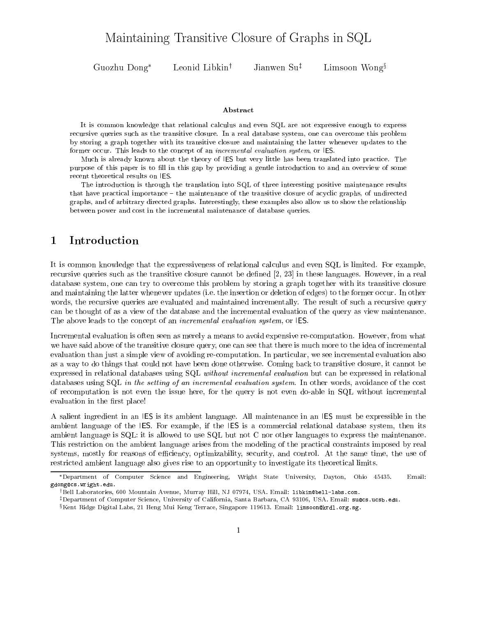# Maintaining Transitive Closure of Graphs in SQL

Guozhu

Leonid Libkin<sup>†</sup> Jianwen Su<sup>‡</sup> Limsoon Wong<sup>§</sup>

### Abstract

It is common knowledge that relational calculus and even SQL are not expressive enough to express recursive queries such as the transitive closure. In a real database system, one can overcome this problem by storing a graph together with its transitive closure and maintaining the latter whenever updates to theformer occur. This leads to the concept of an incremental evaluation system, or IES.

Much is already known about the theory of IES but very little has been translated into practice. The purpose of this paper is to fill in this gap by providing a gentle introduction to and an overview of some recent theoretical results on IES.

The introduction is through the translation into SQL of three interesting positive maintenance resultsthat have practical importance – the maintenance of the transitive closure of acyclic graphs, of undirected graphs, and of arbitrary directed graphs. Interestingly, these examples also allow us to show the relationship between power and cost in the incremental maintenance of database queries.

#### **Introduction**  $\mathbf 1$

It is common knowledge that the expressiveness of relational calculus and even SQL is limited. For example, recursive queries such as the transitive closure cannot be defined [2, 23] in these languages. However, in a real database system, one can try to overcome this problem by storing a graph together with its transitive closure and maintaining the latter whenever updates (i.e. the insertion or deletion of edges) to the former occur. In other words, the recursive queries are evaluated and maintained incrementally. The result of such a recursive query can be thought of as a view of the database and the incremental evaluation of the query as view maintenance. The above leads to the concept of an *incremental evaluation system*, or IES.

Incremental evaluation is often seen as merely a means to avoid expensive re-computation. However, from what we have said above of the transitive closure query, one can see that there is much more to the idea of incremental evaluation than just a simple view of avoiding re-computation. In particular, we see incremental evaluation also as a way to do things that could not have been done otherwise. Coming back to transitive closure, it cannot be expressed in relational databases using SQL without incremental evaluation but can be expressed in relational databases using SQL in the setting of an incremental evaluation system. In other words, avoidance of the cost of recomputation isnot even the issue here, for the query is not even do-able in SQL without incremental evaluation in the first place!

A salient ingredient in an IES is its ambient language. All maintenance in an IES must be expressible in the ambient language of the IES. For example, if the IES is a commercial relational database system, then its ambient language is SQL: it is allowed to use SQL but not C nor other languages to express the maintenance. This restriction on the ambient language arises from the modeling of the practical constraints imposed by real systems, mostly for reasons of efficiency, optimizability, security, and control. At the same time, the use of restricted ambient language also gives rise to an opportunity to investigate its theoretical limits.

Department of Computer Science and Engineering, Wright State University, Dayton, Ohio 45435. Email: gdong@cs.wright.edu.

yBell Laboratories, 600 Mountain Avenue, Murray Hill, NJ 07974, USA. Email: libkin@bell-labs.com.

 $^\ddag$ Department of Computer Science, University of California, Santa Barbara, CA 93106, USA. Email: su@cs.ucsb.edu.

 $S$ Kent Ridge Digital Labs, 21 Heng Mui Keng Terrace, Singapore 119613. Email: limsoon@krdl.org.sg.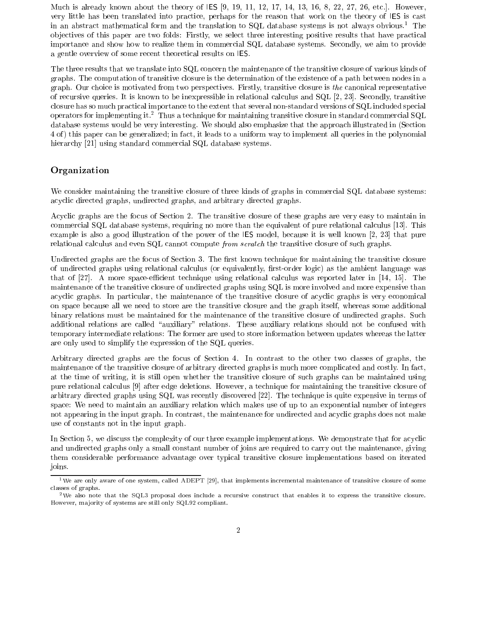Much is already known about the theory of IES [9, 19, 11, 12, 17, 14, 13, 16, 8, 22, 27, 26, etc.]. However, very little has been translated into practice, perhaps for the reason that work on the theory of IES iscast in an abstract mathematical form and the translation to SQL database systems is not always obvious.<sup>1</sup> The ob jectives of this paper are two folds: Firstly, we select three interesting positive results that have practical importance and show how to realize them in commercial SQL database systems. Secondly, we aim to provide a gentle overview of some recent theoretical results on IES.<br>The three results that we translate into SQL concern the maintenance of the transitive closure of various kinds of

graphs. The computation of transitive closure is the determination of the existence of a path between nodes in a graph. Our choice is motivated from two perspectives. Firstly, transitive closure is the canonical representative of recursive queries. It is known to be inexpressible in relational calculus and SQL [2, 23]. Secondly, transitive closure has so much practical importance to the extent that several non-standard versions of SQL included special operators for implementing it.<sup>2</sup> Thus a technique for maintaining transitive closure in standard commercial SQL database systems would be very interesting. We should also emphasize that the approach illustrated in (Section 4 of ) this paper can be generalized; in fact, it leads to a uniform way to implement all queries in the polynomial hierarchy [21] using standard commercial SQL database systems.

# Organization

We consider maintaining the transitive closure of three kinds of graphs in commercial SQL database systems: acyclic directed graphs, undirected graphs, and arbitrary directed graphs.

Acyclic graphs are the focus of Section 2. The transitive closure of these graphs are very easy to maintain in commercial SQL database systems, requiring no more than the equivalent of pure relational calculus [13]. This example is also a good illustration of the power of the IES model, because it is well known [2, 23] that pure relational calculus and even SQL cannot compute from scratch the transitive closure of such graphs.

Undirected graphs are the focus of Section 3. The first known technique for maintaining the transitive closure of undirected graphs using relational calculus (or equivalently, first-order logic) as the ambient language was that of  $[27]$ . A more space-efficient technique using relational calculus was reported later in  $[14, 15]$ . The maintenance of the transitive closure of undirected graphs using SQL is more involved and more expensive than acyclic graphs. In particular, the maintenance of the transitive closure of acyclic graphs is very economical on space because all we need to store are the transitive closure and the graph itself, whereas some additional binary relations must be maintained for the maintenance of the transitive closure of undirected graphs. Such additional relations are called "auxiliary" relations. These auxiliary relations should not be confused with temporary intermediate relations: The former are used to store information between updates whereas the latter are only used to simplify the expression of the SQL queries.

Arbitrary directed graphs are the focus of Section 4. In contrast to the other two classes of graphs, the maintenance of the transitive closure of arbitrary directed graphs is much more complicated and costly. In fact, at the time of writing, it is still open whether the transitive closure of such graphs can be maintained using pure relational calculus [9] after edge deletions. However, a technique for maintaining the transitive closure of arbitrary directed graphs using SQL was recently discovered [22]. The technique is quite expensive in terms of space: We need to maintain an auxiliary relation which makes use of up to an exponential number of integers not appearing in the input graph. In contrast, the maintenance for undirected and acyclic graphs does not make use of constants not in the input graph.

In Section 5, we discuss the complexity of our three example implementations. We demonstrate that for acyclic and undirected graphs only a small constant number of joins are required to carry out the maintenance, giving them considerable performance advantage over typical transitive closure implementations based on iterated joins.

<sup>&</sup>lt;sup>1</sup>We are only aware of one system, called ADEPT [29], that implements incremental maintenance of transitive closure of some classes of graphs.

<sup>2</sup>We also note that the SQL3 proposal does include a recursive construct that enables it to express the transitive closure. However, ma jority of systems are still only SQL92 compliant.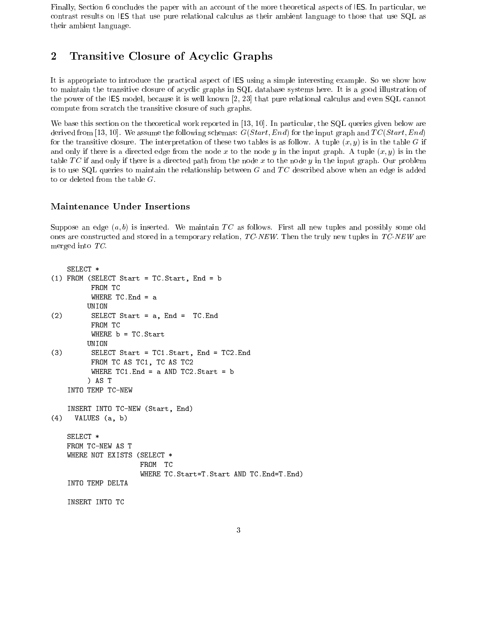Finally, Section 6 concludes the paper with an account of the more theoretical aspects of IES. In particular, we contrast results on IES that use pure relational calculus as their ambient language to those that use SQL as their ambient language.

#### $\overline{2}$ 2 Transitive Closure of Acyclic Graphs

It is appropriate to introduce the practical aspect of IES using a simple interesting example. So we show how to maintain the transitive closure of acyclic graphs in SQL database systems here. It is a good illustration of the power of the IES model, because it is well known [2, 23] that pure relational calculus and even SQL cannot compute from scratch the transitive closure of such graphs.

We base this section on the theoretical work reported in [13, 10]. In particular, the SQL queries given below are derived from [13, 10]. We assume the following schemas:  $G(Start, End)$  for the input graph and  $TC(Start, End)$ for the transitive closure. The interpretation of these two tables is as follow. A tuple  $(x, y)$  is in the table G if and only if there is a directed edge from the node x to the node y in the input graph. A tuple  $(x, y)$  is in the table TC if and only if there is a directed path from the node x to the node y in the input graph. Our problem is to use SQL queries to maintain the relationship between  $G$  and  $TC$  described above when an edge is added to or deleted from the table  $G$ .

# Maintenance Under Insertions

Suppose an edge  $(a, b)$  is inserted. We maintain TC as follows. First all new tuples and possibly some old ones are constructed and stored in a temporary relation,  $TC\text{-}NEW$ . Then the truly new tuples in  $TC\text{-}NEW$  are merged into TC.

```
SELECT *
(1) FROM (SELECT Start = TC.Start, End = b
         FROM TC
         WHERE TC. End = a
        UNION
(2) SELECT Start = a, End = TC.End
         FROM TC
         WHERE b = TC.Start
        UNION
(3) SELECT Start = TC1.Start, End = TC2.End
         FROM TC AS TC1, TC AS TC2
         WHERE TC1. End = a AND TC2. Start = b
        ) AS T
   INTO TEMP TC-NEW
   INSERT INTO TC-NEW (Start, End)
(4) VALUES (a, b)
   SELECT *
   FROM TC-NEW AS T
   WHERE NOT EXISTS (SELECT *
                     FROM TC
                     WHERE TC.Start=T.Start AND TC.End=T.End)
   INTO TEMP DELTA
   INSERT INTO TC
```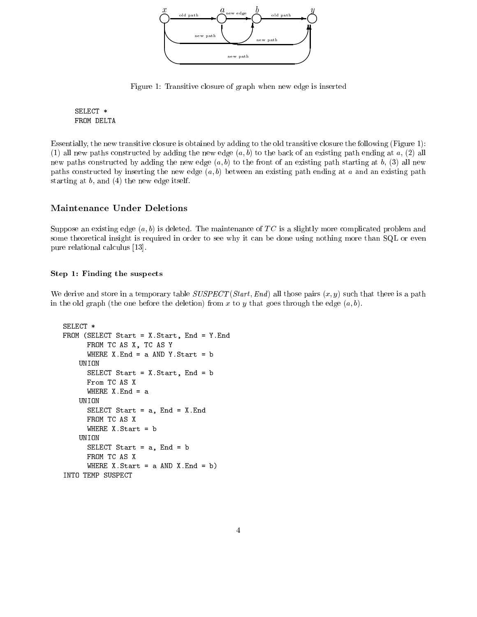

Figure 1: Transitive closure of graph when new edge is inserted

SELECT \* FROM DELTA

Essentially, the new transitive closure is obtained by adding to the old transitive closure the following (Figure 1): (1) all new paths constructed by adding the new edge  $(a, b)$  to the back of an existing path ending at a, (2) all new paths constructed by adding the new edge  $(a, b)$  to the front of an existing path starting at b, (3) all new paths constructed by inserting the new edge  $(a, b)$  between an existing path ending at a and an existing path starting at b, and (4) the new edge itself.

# Maintenance Under Deletions

Suppose an existing edge  $(a, b)$  is deleted. The maintenance of TC is a slightly more complicated problem and some theoretical insight is required in order to see why it can be done using nothing more than SQL or even pure relational calculus [13].

### Step 1: Finding the suspects

We derive and store in a temporary table  $SUSPECT(Start, End)$  all those pairs  $(x, y)$  such that there is a path in the old graph (the one before the deletion) from x to y that goes through the edge  $(a, b)$ .

```
SELECT *
FROM (SELECT Start = X.Start, End = Y.End
      FROM TC AS X, TC AS Y
      WHERE X.End = a AND Y.Start = b
    UNION
      SELECT Start = X.Start, End = b
      From TC AS X
      WHERE X. End = a
    UNION
      SELECT Start = a, End = X.End
      FROM TC AS X
      WHERE X.Start = b
    UNION
      SELECT Start = a, End = b
      FROM TC AS X
      WHERE X.Start = a AND X.End = b)INTO TEMP SUSPECT
```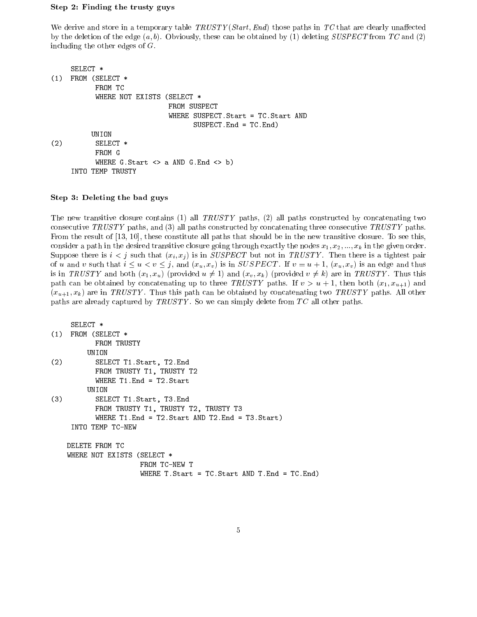### Step 2: Finding the trusty guys

We derive and store in a temporary table  $TRUSTY(Start, End)$  those paths in TC that are clearly unaffected by the deletion of the edge  $(a, b)$ . Obviously, these can be obtained by (1) deleting SUSPECT from TC and (2) including the other edges of G.

```
SELECT *
(1) FROM (SELECT *
            FROM TC
            WHERE NOT EXISTS (SELECT *
                                FROM SUSPECT
                                WHERE SUSPECT.Start = TC.Start AND
                                       SUSPECT.End = TC.End)
           UNION
(2) SELECT *
            FROM G
            WHERE G.S \text{ tart} \iff A \text{ AND } G.E \text{ nd} \iff bINTO TEMP TRUSTY
```
### Step 3: Deleting the bad guys

The new transitive closure contains (1) all  $TRUSTY$  paths, (2) all paths constructed by concatenating two consecutive TRUSTY paths, and (3) all paths constructed by concatenating three consecutive TRUSTY paths. From the result of [13, 10], these constitute all paths that should be in the new transitive closure. To see this, consider a path in the desired transitive closure going through exactly the nodes  $x_1, x_2, ..., x_k$  in the given order. Suppose there is  $i < j$  such that  $(x_i, x_j)$  is in SUSPECT but not in TRUSTY. Then there is a tightest pair of u and v such that  $i \leq u < v \leq j$ , and  $(x_u, x_v)$  is in SUSPECT. If  $v = u + 1$ ,  $(x_u, x_v)$  is an edge and thus is in TRUSTY and both  $(x_1, x_u)$  (provided  $u \neq 1$ ) and  $(x_v, x_k)$  (provided  $v \neq k$ ) are in TRUSTY. Thus this path can be obtained by concatenating up to three TRUSTY paths. If  $v > u + 1$ , then both  $(x_1, x_{u+1})$  and  $(x_{u+1}, x_k)$  are in TRUSTY. Thus this path can be obtained by concatenating two TRUSTY paths. All other paths are already captured by  $TRUSTY$ . So we can simply delete from  $TC$  all other paths.

```
SELECT *
(1) FROM (SELECT *
          FROM TRUSTY
        UNION
(2) SELECT T1.Start, T2.End
          FROM TRUSTY T1, TRUSTY T2
          WHERE T1.End = T2.Start
        UNION
(3) SELECT T1.Start, T3.End
          FROM TRUSTY T1, TRUSTY T2, TRUSTY T3
          WHERE T1. End = T2. Start AND T2. End = T3. Start)
    INTO TEMP TC-NEW
   DELETE FROM TC
   WHERE NOT EXISTS (SELECT *
                     FROM TC-NEW T
                     WHERE T.Start = TC.Start AND T.End = TC.End)
```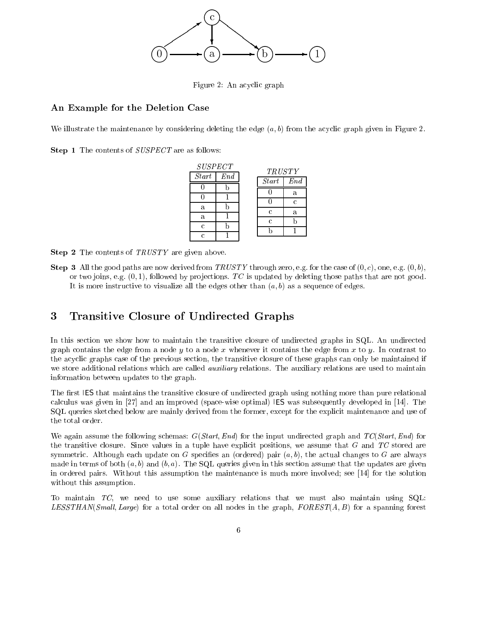

Figure 2: An acyclic graph

# An Example for the Deletion Case

We illustrate the maintenance by considering deleting the edge  $(a, b)$  from the acyclic graph given in Figure 2.

 $\mathbf{S}$ tep 1 The contents of  $\mathcal{S}$ USIECI are as follows:

| <b>SUSPECT</b> |     | <b>TRUSTY</b> |     |
|----------------|-----|---------------|-----|
| Start          | End | Start         | End |
|                |     |               | a   |
|                |     |               | C.  |
| a              |     | C             |     |
| a              |     |               | a   |
| C              |     | Ċ             |     |
| r              |     |               |     |

 $\mathcal{S}$  contents of TRUSTY are given above.

 $S$ tep 3 All the good paths are now derived from TRUSTY through zero, e.g. for the case of (0, c), one, e.g. (0, 0), or two joins, e.g.  $(0, 1)$ , followed by projections. TC is updated by deleting those paths that are not good. It is more instructive to visualize all the edges other than  $(a, b)$  as a sequence of edges.

#### 3 3 Transitive Closure of Undirected Graphs

In this section we show how to maintain the transitive closure of undirected graphs in SQL. An undirected graph contains the edge from a node y to a node x whenever it contains the edge from x to y. In contrast to the acyclic graphs case of the previous section, the transitive closure of these graphs can only be maintained if we store additional relations which are called *auxiliary* relations. The auxiliary relations are used to maintain information between updates to the graph.

The first IES that maintains the transitive closure of undirected graph using nothing more than pure relational calculus was given in [27] and an improved (space-wise optimal) IES was subsequently developed in [14]. The SQL queries sketched below are mainly derived from the former, except for the explicit maintenance and use of the total order.

We again assume the following schemas:  $G(Start, End)$  for the input undirected graph and  $TC(Start, End)$  for the transitive closure. Since values in a tuple have explicit positions, we assume that  $G$  and  $TC$  stored are symmetric. Although each update on G specifies an (ordered) pair  $(a, b)$ , the actual changes to G are always made in terms of both  $(a, b)$  and  $(b, a)$ . The SQL queries given in this section assume that the updates are given in ordered pairs. Without this assumption the maintenance is much more involved; see [14] for the solution without this assumption.

To maintain  $TC$ , we need to use some auxiliary relations that we must also maintain using  $SQL$ . LESSTHAN(Small, Large) for a total order on all nodes in the graph,  $FOREST(A, B)$  for a spanning forest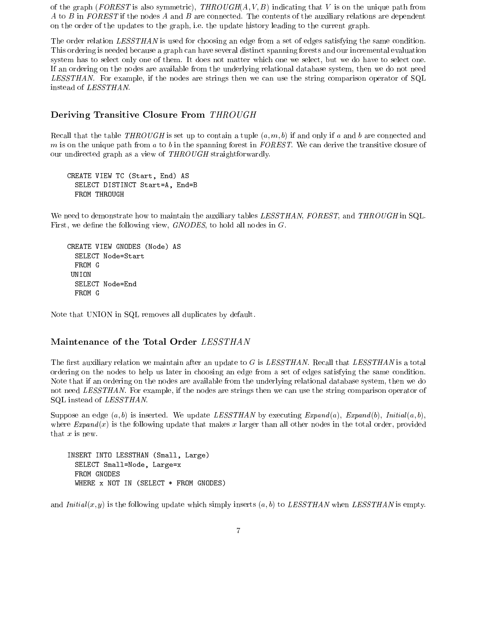of the graph (FOREST is also symmetric), THROUGH( $A, V, B$ ) indicating that V is on the unique path from A to B in FOREST if the nodes A and B are connected. The contents of the auxiliary relations are dependent on the order of the updates to the graph, i.e. the update history leading to the current graph.

The order relation LESSTHAN is used for choosing an edge from a set of edges satisfying the same condition. This ordering is needed because a graph can have several distinct spanning forests and our incremental evaluation system has to select only one of them. It does not matter which one we select, but we do have to select one. If an ordering on the nodes are available from the underlying relational database system, then we do not need LESSTHAN. For example, if the nodes are strings then we can use the string comparison operator of SQL instead of LESSTHAN.

# Deriving Transitive Closure From THROUGH

Recall that the table THROUGH is set up to contain a tuple  $(a, m, b)$  if and only if a and b are connected and m is on the unique path from a to b in the spanning forest in  $FOREST$ . We can derive the transitive closure of our undirected graph as a view of THROUGH straightforwardly.

CREATE VIEW TC (Start, End) AS SELECT DISTINCT Start=A, End=B FROM THROUGH

We need to demonstrate how to maintain the auxiliary tables LESSTHAN, FOREST, and THROUGH in SQL. First, we define the following view,  $GNODES$ , to hold all nodes in  $G$ .

```
CREATE VIEW GNODES (Node) AS
  SELECT Node=Start
 FROM G
 UNION
  SELECT Node=End
```
Note that UNION in SQL removes all duplicates by default.

# Maintenance of the Total Order LESSTHAN

The first auxiliary relation we maintain after an update to  $G$  is LESSTHAN. Recall that LESSTHAN is a total ordering on the nodes to help us later in choosing an edge from a set of edges satisfying the same condition. Note that if an ordering on the nodes are available from the underlying relational database system, then we do not need LESSTHAN. For example, if the nodes are strings then we can use the string comparison operator of SQL instead of LESSTHAN.

Suppose an edge  $(a, b)$  is inserted. We update LESSTHAN by executing Expand  $(a)$ , Expand  $(b)$ , Initial  $(a, b)$ , where  $Expand(x)$  is the following update that makes x larger than all other nodes in the total order, provided that  $x$  is new.

INSERT INTO LESSTHAN (Small, Large) SELECT Small=Node, Large=x FROM GNODES WHERE x NOT IN (SELECT \* FROM GNODES)

and  $Initial(x, y)$  is the following update which simply inserts  $(a, b)$  to LESSTHAN when LESSTHAN is empty.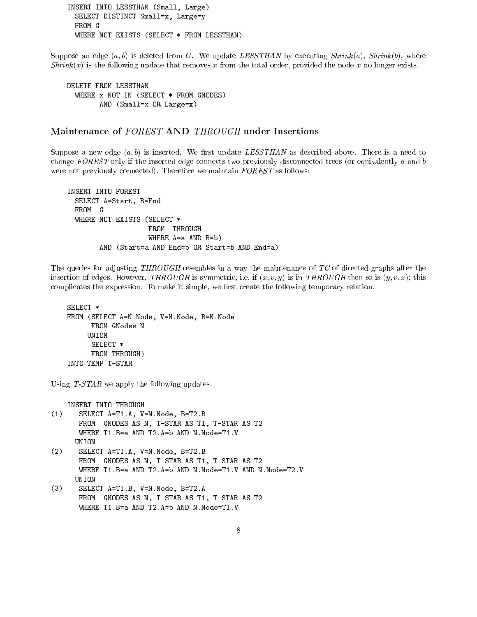INSERT INTO LESSTHAN (Small, Large) SELECT DISTINCT Small=x, Large=y FROM G WHERE NOT EXISTS (SELECT \* FROM LESSTHAN)

Suppose an edge  $(a, b)$  is deleted from G. We update LESSTHAN by executing Shrink $(a)$ , Shrink $(b)$ , where  $Shrink(x)$  is the following update that removes x from the total order, provided the node x no longer exists.

```
DELETE FROM LESSTHAN
  WHERE x NOT IN (SELECT * FROM GNODES)
        AND (Small=x OR Large=x)
```
Suppose a new edge  $(a, b)$  is inserted. We first update LESSTHAN as described above. There is a need to change  $FOREST$  only if the inserted edge connects two previously disconnected trees (or equivalently a and b were not previously connected). Therefore we maintain  $FOREST$  as follows:

```
INSERT INTO FOREST
  SELECT A=Start, B=End
  WHERE NOT EXISTS (SELECT *
                    FROM THROUGH
                    WHERE A=a AND B=b)
        AND (Start=a AND End=b OR Start=b AND End=a)
```
The queries for adjusting THROUGH resembles in a way the maintenance of TC of directed graphs after the insertion of edges. However, THROUGH is symmetric, i.e. if  $(x, v, y)$  is in THROUGH then so is  $(y, v, x)$ ; this complicates the expression. To make it simple, we first create the following temporary relation.

```
SELECT *
FROM (SELECT A=N.Node, V=N.Node, B=N.Node
     FROM GNodes N
    UNION
     SELECT *
     FROM THROUGH)
      FROM THROUGH)
INTO TEMP T-STAR
```
Using T-STAR we apply the following updates.

INSERT INTO THROUGH

- (1) SELECT A=T1.A, V=N.Node, B=T2.B FROM GNODES AS N, T-STAR AS T1, T-STAR AS T2 WHERE T1.B=a AND T2.A=b AND N.Node=T1.V UNION
- (2) SELECT A=T1.A, V=N.Node, B=T2.B FROM GNODES AS N, T-STAR AS T1, T-STAR AS T2 WHERE T1.B=a AND T2.A=b AND N.Node=T1.V AND N.Node=T2.V UNION
- (3) SELECT A=T1.B, V=N.Node, B=T2.A FROM GNODES AS N, T-STAR AS T1, T-STAR AS T2 WHERE T1.B=a AND T2.A=b AND N.Node=T1.V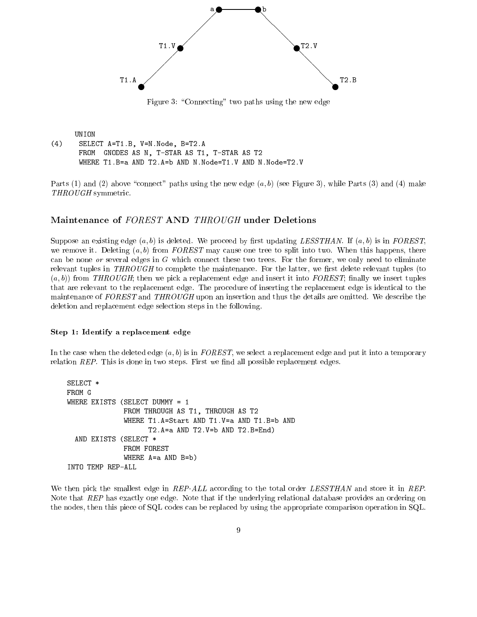

Figure 3: "Connecting" two paths using the new edge

```
UNION
(4)SELECT A=T1.B, V=N.Node, B=T2.A
      FROM GNODES AS N, T-STAR AS T1, T-STAR AS T2
      WHERE T1.B=a AND T2.A=b AND N.Node=T1.V AND N.Node=T2.V
```
Parts (1) and (2) above "connect" paths using the new edge  $(a, b)$  (see Figure 3), while Parts (3) and (4) make THROUGH symmetric.

# Maintenance of FOREST AND THROUGH under Deletions

Suppose an existing edge  $(a, b)$  is deleted. We proceed by first updating LESSTHAN. If  $(a, b)$  is in FOREST, we remove it. Deleting  $(a, b)$  from FOREST may cause one tree to split into two. When this happens, there can be none or several edges in  $G$  which connect these two trees. For the former, we only need to eliminate relevant tuples in  $THROUGH$  to complete the maintenance. For the latter, we first delete relevant tuples (to  $(a, b)$  from THROUGH; then we pick a replacement edge and insert it into FOREST; finally we insert tuples that are relevant to the replacement edge. The procedure of inserting the replacement edge is identical to the maintenance of FOREST and THROUGH upon an insertion and thus the details are omitted. We describe the deletion and replacement edge selection steps in the following.

### Step 1: Identify a replacement edge

In the case when the deleted edge  $(a, b)$  is in FOREST, we select a replacement edge and put it into a temporary relation  $REP$ . This is done in two steps. First we find all possible replacement edges.

```
SELECT *
FROM G
WHERE EXISTS (SELECT DUMMY = 1
                  FROM THROUGH AS T1, THROUGH AS T2
                  WHERE T1.A=Start AND T1.V=a AND T1.B=b AND
                          T2.A=a AND T2.V=b AND T2.B=End)
                          T2. And T2. And T2. And T2. And T2. And T2. And T2. And T2. B=End) and T2. B=End) and T2. B=End) and T2. B=End
  AND EXISTS (SELECT *
                  WHERE A=a AND B=b)
INTO TEMP REP-ALL
```
We then pick the smallest edge in REP-ALL according to the total order LESSTHAN and store it in REP. Note that REP has exactly one edge. Note that if the underlying relational database provides an ordering on the nodes, then this piece of SQL codes can be replaced by using the appropriate comparison operation in SQL.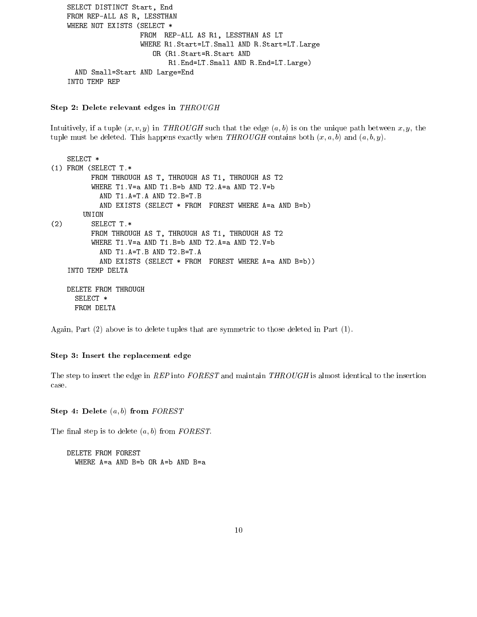```
SELECT DISTINCT Start, End
FROM REP-ALL AS R, LESSTHAN
WHERE NOT EXISTS (SELECT *
                  FROM REP-ALL AS R1, LESSTHAN AS LT
                  WHERE R1.Start=LT.Small AND R.Start=LT.Large
                     OR (R1.Start=R.Start AND
                         R1.End=LT.Small AND R.End=LT.Large)
  AND Small=Start AND Large=End
INTO TEMP REP
```
## $S$ tep 2: Delete relevant edges in T $H$ ROUGH

Intuitively, if a tuple  $(x, v, y)$  in THROUGH such that the edge  $(a, b)$  is on the unique path between  $x, y$ , the tuple must be deleted. This happens exactly when  $THROUGH$  contains both  $(x, a, b)$  and  $(a, b, y)$ .

```
SELECT *
(1) FROM (SELECT T.*
         FROM THROUGH AS T, THROUGH AS T1, THROUGH AS T2
         WHERE T1.V=a AND T1.B=b AND T2.A=a AND T2.V=b
           AND T1.A=T.A AND T2.B=T.B
           AND EXISTS (SELECT * FROM FOREST WHERE A=a AND B=b)
       UNION
(2) SELECT T.*
         FROM THROUGH AS T, THROUGH AS T1, THROUGH AS T2
         WHERE T1.V=a AND T1.B=b AND T2.A=a AND T2.V=b
           AND T1.A=T.B AND T2.B=T.A
           AND EXISTS (SELECT * FROM FOREST WHERE A=a AND B=b))
   INTO TEMP DELTA
   DELETE FROM THROUGH
     SELECT *
     FROM DELTA
```
Again, Part (2) above is to delete tuples that are symmetric to those deleted in Part (1).

### Step 3: Insert the replacement edge

The step to insert the edge in REP into FOREST and maintain THROUGH is almost identical to the insertion case.

 $S(\mathbf{e})$  4: Delete  $(a, b)$  from FOREST

The final step is to delete  $(a, b)$  from  $FOREST$ .

DELETE FROM FOREST WHERE A=a AND B=b OR A=b AND B=a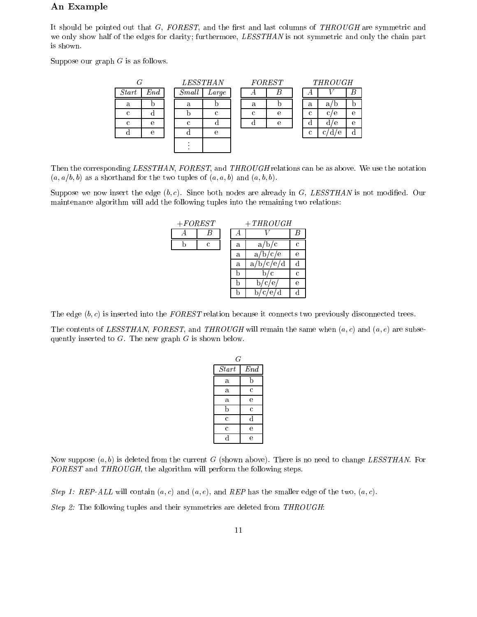# An Example

It should be pointed out that  $G$ , FOREST, and the first and last columns of THROUGH are symmetric and we only show half of the edges for clarity; furthermore, LESSTHAN is not symmetric and only the chain part is shown.

Suppose our graph  $G$  is as follows.

|              |              |       | <i>LESSTHAN</i> |            | <b>FOREST</b> |   | <b>THROUGH</b>      |            |  |
|--------------|--------------|-------|-----------------|------------|---------------|---|---------------------|------------|--|
| <i>Start</i> | $\emph{End}$ | Small | Large           |            |               | л |                     | B          |  |
| a            |              | a     |                 | a          |               | a | a,<br>JJ.           |            |  |
| C            |              |       | $\epsilon$      | $\epsilon$ | е             | C | $\mathbf{c}$ .<br>е | $\epsilon$ |  |
| C            | е            |       |                 |            | е             |   | 'e<br>α             | $\epsilon$ |  |
|              | е            |       | e               |            |               | C | e<br>с.<br>α        |            |  |
|              |              |       |                 |            |               |   |                     |            |  |

Then the corresponding LESSTHAN, FOREST, and THROUGH relations can be as above. We use the notation  $(a, a/b, b)$  as a shorthand for the two tuples of  $(a, a, b)$  and  $(a, b, b)$ .

Suppose we now insert the edge  $(b, c)$ . Since both nodes are already in G, LESSTHAN is not modified. Our maintenance algorithm will add the following tuples into the remaining two relations:

| $+ FOREST$ |   |   | $+THROUGH$                    |   |  |
|------------|---|---|-------------------------------|---|--|
|            |   |   |                               |   |  |
|            | C | a | a <sub>i</sub><br>$\mathbf c$ | C |  |
|            |   | a | a<br>c/e                      | е |  |
|            |   | a | d<br>a<br>$\epsilon$<br>e     |   |  |
|            |   |   | с                             | С |  |
|            |   |   | e<br>◠                        | е |  |
|            |   |   |                               |   |  |

The edge  $(b, c)$  is inserted into the FOREST relation because it connects two previously disconnected trees.

The contents of LESSTHAN, FOREST, and THROUGH will remain the same when  $(a, c)$  and  $(a, e)$  are subsequently inserted to  $G$ . The new graph  $G$  is shown below.

| G                  |                |  |
|--------------------|----------------|--|
| $\overline{Start}$ | End            |  |
| a                  | h              |  |
| a                  | $\ddot{\rm c}$ |  |
| a                  | e              |  |
| b                  | Ċ              |  |
| Ċ                  | d              |  |
| $\overline{c}$     | e              |  |
| d                  | e              |  |

Now suppose  $(a, b)$  is deleted from the current G (shown above). There is no need to change LESSTHAN. For FOREST and THROUGH, the algorithm will perform the following steps.

Step 1: REP-ALL will contain  $(a, c)$  and  $(a, e)$ , and REP has the smaller edge of the two,  $(a, c)$ .

Step 2: The following tuples and their symmetries are deleted from THROUGH: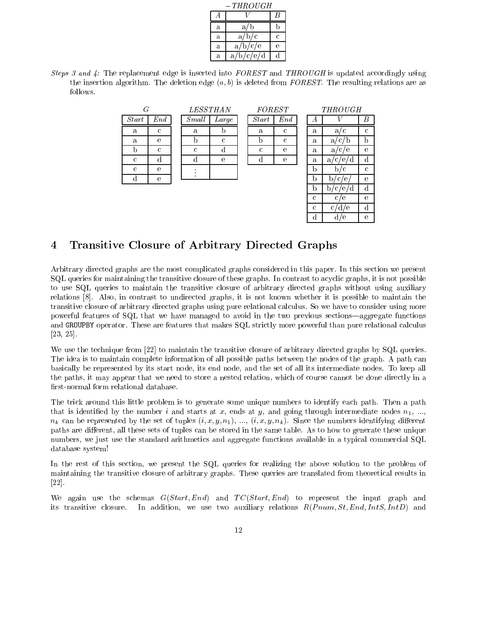|   | $-\,THROUGH$ |   |  |  |  |  |  |
|---|--------------|---|--|--|--|--|--|
|   |              | B |  |  |  |  |  |
| a | a/b          |   |  |  |  |  |  |
| a | a/b/c        | с |  |  |  |  |  |
| a | a/b/c/e      | е |  |  |  |  |  |
| a | a/b/c/e/d    |   |  |  |  |  |  |

Steps 3 and 4: The replacement edge is inserted into  $FOREST$  and THROUGH is updated accordingly using the insertion algorithm. The deletion edge  $(a, b)$  is deleted from FOREST. The resulting relations are as follows.

| G            |     | <i>LESSTHAN</i> |       | <b>FORE</b> |  |
|--------------|-----|-----------------|-------|-------------|--|
| <b>Start</b> | End | Small           | Large | Start       |  |
| a            | C   | a               |       | a           |  |
| a            | е   |                 | C     |             |  |
|              | C   | C               |       | C           |  |
| C            |     |                 | e     |             |  |
| C            | е   |                 |       |             |  |
|              | e   |                 |       |             |  |

|                         | $\it FOREST$ |   | <b>THROUGH</b>   |   |  |  |
|-------------------------|--------------|---|------------------|---|--|--|
| $^{\iota}$ art          | $\emph{End}$ |   |                  | В |  |  |
| a                       | C            | a | a/c              | C |  |  |
| $\overline{\mathrm{b}}$ | $\mathbf c$  | a | a                | b |  |  |
| $\mathbf c$             | e            | a | a<br>e           | е |  |  |
| $\overline{\mathrm{d}}$ | e            | a | d<br>a<br>C      | d |  |  |
|                         |              | b | C                | C |  |  |
|                         |              | h | e                | e |  |  |
|                         |              |   | d<br>b<br>Ċ<br>e | d |  |  |
|                         |              | C | C<br>е           | е |  |  |
|                         |              | C | с<br>е<br>O      |   |  |  |

d  $d/e$  e

# 4 Transitive Closure of Arbitrary Directed Graphs

Arbitrary directed graphs are the most complicated graphs considered in this paper. In this section we present SQL queries for maintaining the transitive closure of these graphs. In contrast to acyclic graphs, it is not possible to use SQL queries to maintain the transitive closure of arbitrary directed graphs without using auxiliary relations [8]. Also, in contrast to undirected graphs, it is not known whether it is possible to maintain the transitive closure of arbitrary directed graphs using pure relational calculus. So we have to consider using more powerful features of SQL that we have managed to avoid in the two previous sections—aggregate functions and GROUPBY operator. These are features that makes SQL strictly more powerful than pure relational calculus [23, 25].

We use the technique from [22] to maintain the transitive closure of arbitrary directed graphs by SQL queries. The idea is to maintain complete information of all possible paths between the nodes of the graph. A path can basically be represented by its start node, its end node, and the set of all its intermediate nodes. To keep all the paths, it may appear that we need to store a nested relation, which of course cannot be done directly in a first-normal form relational database.

The trick around this little problem is to generate some unique numbers to identify each path. Then a path that is identified by the number i and starts at x, ends at y, and going through intermediate nodes  $n_1, ...,$  $n_k$  can be represented by the set of tuples  $(i, x, y, n_1), \ldots, (i, x, y, n_k)$ . Since the numbers identifying different paths are different, all these sets of tuples can be stored in the same table. As to how to generate these unique numbers, we just use the standard arithmetics and aggregate functions available in a typical commercial SQL database system!

In the rest of this section, we present the SQL queries for realizing the above solution to the problem of maintaining the transitive closure of arbitrary graphs. These queries are translated from theoretical results in [22].

We again use the schemas  $G(Start, End)$  and  $TC(Start, End)$  to represent the input graph and its transitive closure. In addition, we use two auxiliary relations  $R(Pnum, St, End, IntS, IntD)$  and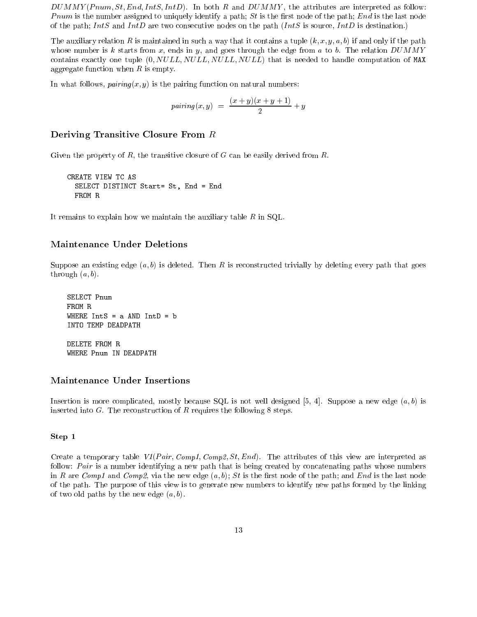$DUMMY(Pnum, St, End, IntS, IntD)$ . In both R and  $DUMMY$ , the attributes are interpreted as follow: Pnum is the number assigned to uniquely identify a path; St is the first node of the path; End is the last node of the path; IntS and IntD are two consecutive nodes on the path (IntS is source, IntD is destination.)

The auxiliary relation R is maintained in such a way that it contains a tuple  $(k, x, y, a, b)$  if and only if the path whose number is k starts from x, ends in y, and goes through the edge from a to b. The relation  $DUMMY$ contains exactly one tuple  $(0, NULL, NULL, NULL, NULL)$  that is needed to handle computation of MAX aggregate function when  $R$  is empty.

In what follows,  $\textit{pairing}(x, y)$  is the pairing function on natural numbers:

$$
pairing(x,y) = \frac{(x+y)(x+y+1)}{2} + y
$$

# Deriving Transitive Closure From <sup>R</sup>

Given the property of R, the transitive closure of G can be easily derived from  $R$ .

CREATE VIEW TC AS SELECT DISTINCT Start= St, End = End

It remains to explain how we maintain the auxiliary table  $R$  in SQL.

# Maintenance Under Deletions

Suppose an existing edge  $(a, b)$  is deleted. Then R is reconstructed trivially by deleting every path that goes through  $(a, b)$ .

SELECT Pnum FROM R WHERE  $IntS = a$  AND  $IntD = b$ INTO TEMP DEADPATH DELETE FROM R WHERE Pnum IN DEADPATH

# Maintenance Under Insertions

Insertion is more complicated, mostly because SQL is not well designed [5, 4]. Suppose a new edge  $(a, b)$  is inserted into  $G$ . The reconstruction of  $R$  requires the following 8 steps.

# Step 1

Create a temporary table  $VI(Pair, Comp1, Comp2, St, End)$ . The attributes of this view are interpreted as follow: Pair is a number identifying a new path that is being created by concatenating paths whose numbers in R are Comp1 and Comp2, via the new edge  $(a, b)$ ; St is the first node of the path; and End is the last node of the path. The purpose of this view is to generate new numbers to identify new paths formed by the linking of two old paths by the new edge  $(a, b)$ .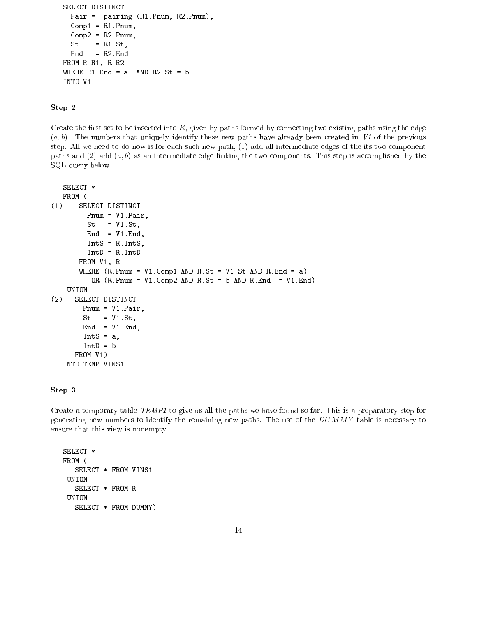```
SELECT DISTINCT
 Pair = pairing (R1.Pnum, R2.Pnum),
 Comp1 = R1.Pnum,Comp2 = R2.Pnum,St = R1.St,
      = R2.FndEnd
FROM R R1, R R2
WHERE R1. End = a AND R2. St = b
INTO V1
```
# Step 2

Create the first set to be inserted into  $R$ , given by paths formed by connecting two existing paths using the edge  $(a, b)$ . The numbers that uniquely identify these new paths have already been created in V1 of the previous step. All we need to do now is for each such new path, (1) add all intermediate edges of the its two component paths and  $(2)$  add  $(a, b)$  as an intermediate edge linking the two components. This step is accomplished by the SQL query below.

```
SELECT *
  FROM (
(1) SELECT DISTINCT
        Pnum = V1.Pair,
        St = VI.St,End = V1.Fnd,IntS = R.IntS,
        IntD = R.IntD
      FROM V1, R
      WHERE (R.Pnum = VI.Comp1 AND R.St = VI.St AND R.End = a)OR (R.Pnum = V1.Comp2 AND R.St = b AND R. End = V1.End)UNION
(2) SELECT DISTINCT
       Pnum = V1.Pair,
       St = VI.St,End = V1.Fnd,IntS = a,
       IntD = bFROM V1)
  INTO TEMP VINS1
```
# Step 3

Create a temporary table TEMP1 to give us all the paths we have found so far. This is a preparatory step for generating new numbers to identify the remaining new paths. The use of the  $DUMMY$  table is necessary to ensure that this view is nonempty.

SELECT \* FROM ( SELECT \* FROM VINS1 UNION SELECT \* FROM R UNION SELECT \* FROM DUMMY)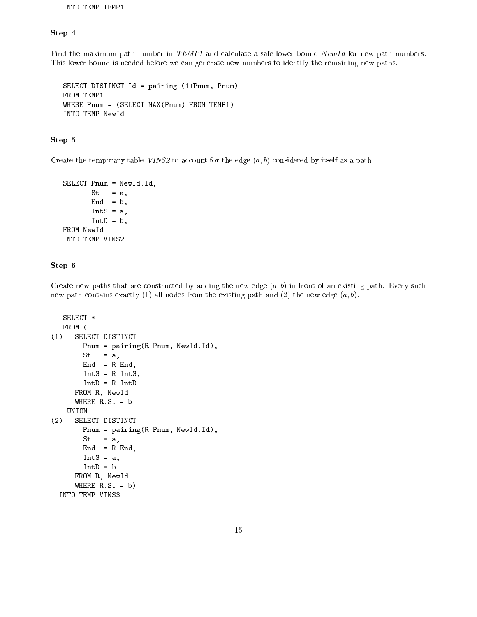INTO TEMP TEMP1

# Step 4

Find the maximum path number in TEMP1 and calculate a safe lower bound NewId for new path numbers. This lower bound is needed before we can generate new numbers to identify the remaining new paths.

```
SELECT DISTINCT Id = pairing (1+Pnum, Pnum)
FROM TEMP1
WHERE Pnum = (SELECT MAX(Pnum) FROM TEMP1)
```
# Step 5

Create the temporary table VINS2 to account for the edge  $(a, b)$  considered by itself as a path.

```
SELECT Pnum = NewId.Id,
       St = a,
      End = b,IntS = a,
       IntD = b,
FROM NewId
INTO TEMP VINS2
```
# Step 6

Create new paths that are constructed by adding the new edge  $(a, b)$  in front of an existing path. Every such new path contains exactly (1) all nodes from the existing path and (2) the new edge  $(a, b)$ .

```
SELECT *
  FROM (
   FROM (
(1) SELECT DISTINCT
       Pnum = pairing(R.Pnum, NewId.Id),
       St = a,
       End = R.Hnd,IntS = R.IntS,
       IntD = R.IntD
     FROM R, NewId
     WHERE R.St = bUNION
(2) SELECT DISTINCT
       Pnum = pairing(R.Pnum, NewId.Id),
       St = a,
       End = R.Hnd,IntS = a,
       IntD = bFROM R, NewId
     WHERE R.St = b)
 INTO TEMP VINS3
```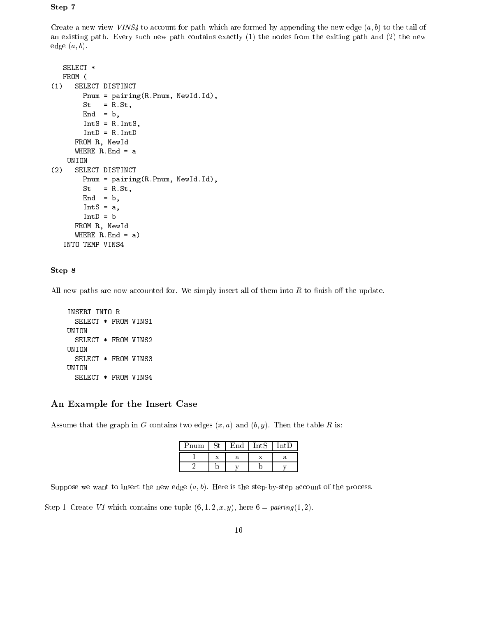# Step 7

Create a new view VINS4 to account for path which are formed by appending the new edge  $(a, b)$  to the tail of an existing path. Every such new path contains exactly (1) the nodes from the exiting path and (2) the new edge  $(a, b)$ .

```
SELECT *
  FROM (
(1) SELECT DISTINCT
       Pnum = pairing(R.Pnum, NewId.Id),
       St = R.St,
       End = b,IntS = R.IntS,
       IntD = R.IntD
     FROM R, NewId
     WHERE R. End = a
   UNION
(2) SELECT DISTINCT
       Pnum = pairing(R.Pnum, NewId.Id),
       St = R.St,End = b,
       IntS = a,
       IntD = bFROM R, NewId
     WHERE R. End = a)
  INTO TEMP VINS4
```
# Step 8

All new paths are now accounted for. We simply insert all of them into  $R$  to finish off the update.

```
INSERT INTO R
  SELECT * FROM VINS1
UNION
  SELECT * FROM VINS2
UNION
  SELECT * FROM VINS3
UNION
  SELECT * FROM VINS4
```
# An Example for the Insert Case

Assume that the graph in G contains two edges  $(x, a)$  and  $(b, y)$ . Then the table R is:

| Pnum | ľnd | $IntS$ , | ${\rm Int}{\rm D}$ |
|------|-----|----------|--------------------|
|      |     |          |                    |
|      |     |          |                    |

Suppose we want to insert the new edge  $(a, b)$ . Here is the step-by-step account of the process.

Step 1 Create V1 which contains one tuple  $(6, 1, 2, x, y)$ , here  $6 = pairing(1, 2)$ .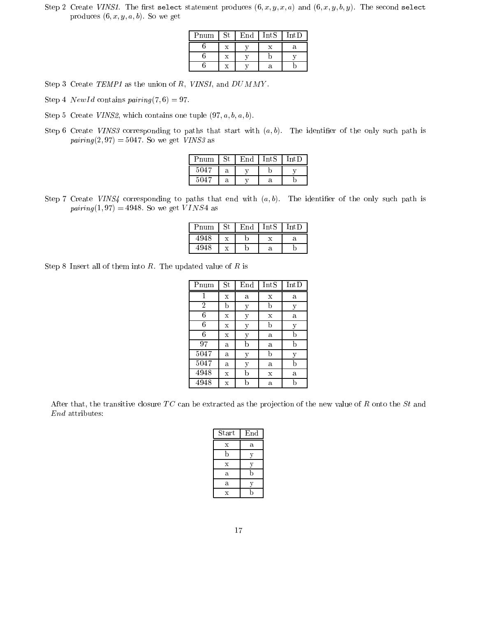Step 2 Create VINS1. The first select statement produces  $(6, x, y, x, a)$  and  $(6, x, y, b, y)$ . The second select produces  $(6, x, y, a, b)$ . So we get

| Pnum | $\mathop{\mathrm{St}}\nolimits$ | $\operatorname{End}$ | IntS | IntD |
|------|---------------------------------|----------------------|------|------|
|      | x                               |                      |      | а    |
|      | X                               |                      |      |      |
|      | X                               |                      | а    |      |

- Step 3 Create TEMP1 as the union of R, VINS1, and  $DUMMY$ .
- Step 4 *NewId* contains  $pairing(7,6) = 97$ .
- Step 5 Create VINS2, which contains one tuple  $(97, a, b, a, b)$ .
- Step 6 Create VINS3 corresponding to paths that start with  $(a, b)$ . The identifier of the only such path is  $pairing (2,97) = 5047.$  So we get *VINS3* as

| Pnum | $\rm St$ | $\vert$ End $\vert$ IntS |   | IntD |
|------|----------|--------------------------|---|------|
| 5047 |          |                          |   |      |
| 5047 |          |                          | а |      |

Step 7 Create VINS4 corresponding to paths that end with  $(a, b)$ . The identifier of the only such path is  $pairing (1,97) = 4948$ . So we get VINS4 as

| Pnum | $St$ $EntS$ |   | IntD |
|------|-------------|---|------|
| 4948 |             |   |      |
| 494× |             | а |      |

Step 8 Insert all of them into  $R$ . The updated value of  $R$  is

| Pnum           | $\mathop{\mathrm{St}}\nolimits$ | End | IntS        | IntD |
|----------------|---------------------------------|-----|-------------|------|
|                | $\mathbf x$                     | a   | X           | a    |
| $\overline{2}$ | b                               | у   | b           | у    |
| 6              | X                               | у   | $\mathbf X$ | a    |
| 6              | X                               | у   | b           | у    |
| 6              | $\mathbf x$                     | у   | a           | b    |
| 97             | a                               | b   | a           | b    |
| 5047           | a                               | у   | b           | у    |
| 5047           | a                               | у   | a           | b    |
| 4948           | $\mathbf x$                     | b   | $\mathbf x$ | a    |
| 4948           | $\mathbf x$                     | h   | a           | b    |

After that, the transitive closure TC can be extracted as the projection of the new value of R onto the St and End attributes:

| <b>Start</b> | End |
|--------------|-----|
| X            | a   |
|              | V   |
| X            | V   |
| a            | b   |
| a            |     |
| X            |     |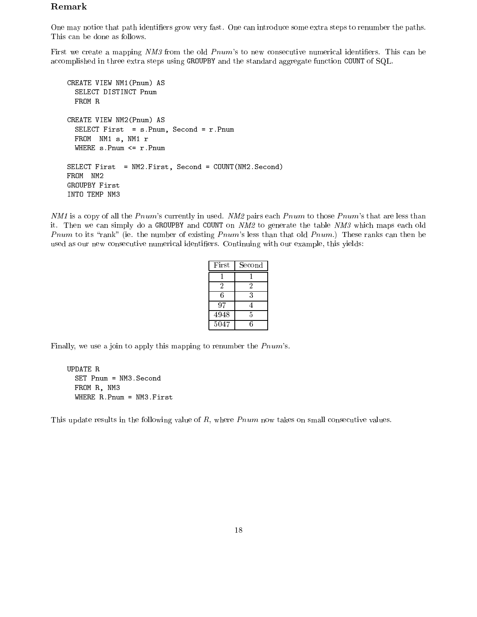# Remark

One may notice that path identiers grow very fast. One can introduce some extra steps to renumber the paths. This can be done as follows.

First we create a mapping NM3 from the old Pnum's to new consecutive numerical identifiers. This can be accomplished in three extra steps using GROUPBY and the standard aggregate function COUNT of SQL.

```
CREATE VIEW NM1(Pnum) AS
  SELECT DISTINCT Pnum
  FROM R
CREATE VIEW NM2(Pnum) AS
  SELECT First = s.Pnum, Second = r.Pnum
  FROM NM1 s, NM1 r
  WHERE s.Pnum <= r.Pnum
SELECT First = NM2.First, Second = COUNT(NM2.Second)
FROM NM2
GROUPBY First
INTO TEMP NM3
```
 $NM1$  is a copy of all the Pnum's currently in used. NM2 pairs each Pnum to those Pnum's that are less than it. Then we can simply do a GROUPBY and COUNT on NM2 to generate the table NM3 which maps each old Pnum to its "rank" (ie. the number of existing P num's less than that old P num.) These ranks can then be used as our new consecutive numerical identifiers. Continuing with our example, this yields:

| First             | Second |
|-------------------|--------|
|                   |        |
| 2                 | 2      |
| 6                 | 3      |
| 97                |        |
| 4948              | 5      |
| $\overline{50}47$ | հ      |

Finally, we use a join to apply this mapping to renumber the  $Pnum$ 's.

```
UPDATE R
  SET Pnum = NM3.Second
  FROM R, NM3
  WHERE R.Pnum = NM3.First
```
This update results in the following value of  $R$ , where  $Pnum$  now takes on small consecutive values.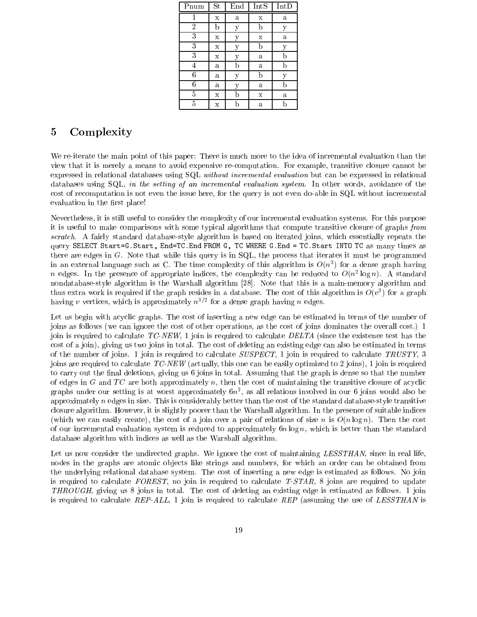| Pnum           | St          | End | $Int\overline{S}$ | IntD |  |
|----------------|-------------|-----|-------------------|------|--|
|                | $\mathbf x$ | a   | $\mathbf X$       | a    |  |
| $\overline{2}$ | b           | у   | b                 | у    |  |
| 3              | $\mathbf x$ | у   | $\mathbf X$       | a    |  |
| 3              | X           | у   | b                 | у    |  |
| 3              | $\mathbf x$ | у   | a                 | b    |  |
| 4              | a           | h   | a                 | b    |  |
| 6              | a           | y   | b                 | y    |  |
| 6              | a           | у   | a                 | b    |  |
| 5              | $\mathbf x$ | b   | $\mathbf x$       | a    |  |
| 5              | $\mathbf x$ |     | a                 | b    |  |

#### $\overline{5}$ Complexity

We re-iterate the main point of this paper: There is much more to the idea of incremental evaluation than the view that it is merely a means to avoid expensive re-computation. For example, transitive closure cannot be expressed in relational databases using SQL without incremental evaluation but can be expressed in relational databases using SQL, in the setting of an incremental evaluation system. In other words, avoidance of the cost of recomputation is not even the issue here, for the query is not even do-able in SQL without incremental evaluation in the first place!

Nevertheless, it is still useful to consider the complexity of our incremental evaluation systems. For this purpose it is useful to make comparisons with some typical algorithms that compute transitive closure of graphs from scratch. A fairly standard database-style algorithm is based on iterated joins, which essentially repeats the query SELECT Start=G.Start, End=TC.End FROM G, TC WHERE G.End = TC.Start INTO TC as many times as there are edges in G. Note that while this query is in SQL, the process that iterates it must be programmed in an external language such as  $\cup$ . The time complexity of this algorithm is  $O(n^\ast)$  for a dense graph having  $n$  edges. In the presence of appropriate indices, the complexity can be reduced to  $O(n^2 \log n)$ . A standard nondatabase-style algorithm is the Warshall algorithm [28]. Note that this is a main-memory algorithm and thus extra work is required if the graph resides in a database. The cost of this algorithm is  $O(v^\ast)$  for a graph having v vertices, which is approximately  $n<sup>2</sup>$  for a dense graph having n edges.

Let us begin with acyclic graphs. The cost of inserting a new edge can be estimated in terms of the number of joins as follows (we can ignore the cost of other operations, as the cost of joins dominates the overall cost.) 1 join is required to calculate  $TC\text{-}NEW$ , 1 join is required to calculate  $DELTA$  (since the existence test has the cost of a join), giving us two joins in total. The cost of deleting an existing edge can also be estimated in terms of the number of joins. 1 join is required to calculate SUSPECT, 1 join is required to calculate TRUSTY, 3 joins are required to calculate  $TC-NEW$  (actually, this one can be easily optimized to 2 joins), 1 join is required to carry out the final deletions, giving us 6 joins in total. Assuming that the graph is dense so that the number of edges in G and TC are both approximately n, then the cost of maintaining the transitive closure of acyclic graphs under our setting is at worst approximately  $on^-$ , as all relations involved in our 6 joins would also be approximately  $n$  edges in size. This is considerably better than the cost of the standard database-style transitive closure algorithm. However, it is slightly poorer than the Warshall algorithm. In the presence of suitable indices (which we can easily create), the cost of a join over a pair of relations of size n is  $O(n \log n)$ . Then the cost of our incremental evaluation system is reduced to approximately  $6n \log n$ , which is better than the standard database algorithm with indices as well as the Warshall algorithm.

Let us now consider the undirected graphs. We ignore the cost of maintaining LESSTHAN, since in real life, nodes in the graphs are atomic ob jects like strings and numbers, for which an order can be obtained from the underlying relational database system. The cost of inserting a new edge is estimated as follows. No join is required to calculate FOREST, no join is required to calculate  $T-STAR$ , 8 joins are required to update THROUGH, giving us 8 joins in total. The cost of deleting an existing edge is estimated as follows. 1 join is required to calculate REP-ALL, 1 join is required to calculate REP (assuming the use of LESSTHAN is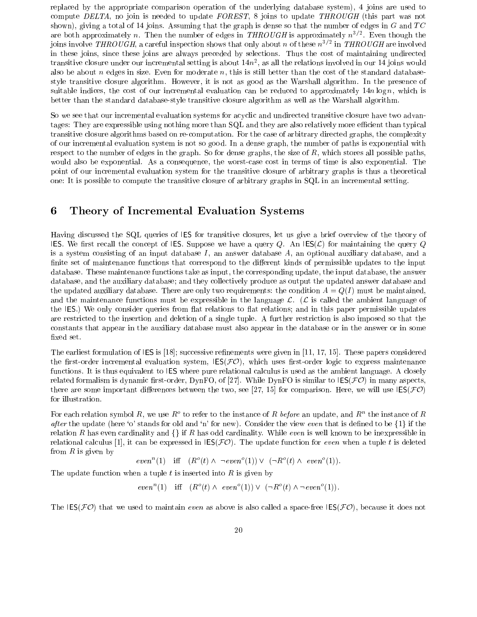replaced by the appropriate comparison operation of the underlying database system), 4 joins are used to compute DELTA, no join is needed to update FOREST, 8 joins to update THROUGH (this part was not shown), giving a total of 14 joins. Assuming that the graph is dense so that the number of edges in  $G$  and  $TC$ are both approximately  $n$ . Then the number of edges in  $\overline{I}$  HROUGH is approximately  $n^{2/2}$ . Even though the joins involve  $\bm{I}\bm{H}\bm{K} \bm{U} \bm{U} \bm{G}\bm{H},$  a careful inspection shows that only about  $n$  of these  $n^{3/2}$  in  $\bm{I}\bm{H}\bm{K} \bm{U} \bm{U} \bm{G}\bm{H}$  are involved in these joins, since these joins are always preceded by selections. Thus the cost of maintaining undirected transitive closure under our incremental setting is about 14n2 , as all the relations involved in our 14 joins would also be about  $n$  edges in size. Even for moderate  $n$ , this is still better than the cost of the standard databasestyle transitive closure algorithm. However, it is not as good as the Warshall algorithm. In the presence of suitable indices, the cost of our incremental evaluation can be reduced to approximately  $14n \log n$ , which is better than the standard database-style transitive closure algorithm as well as the Warshall algorithm.

So we see that our incremental evaluation systems for acyclic and undirected transitive closure have two advantages: They are expressible using nothing more than SQL and they are also relatively more efficient than typical transitive closure algorithms based on re-computation. For the case of arbitrary directed graphs, the complexity of our incremental evaluation system is not so good. In a dense graph, the number of paths is exponential with respect to the number of edges in the graph. So for dense graphs, the size of  $R$ , which stores all possible paths, would also be exponential. As a consequence, the worst-case cost in terms of time is also exponential. The point of our incremental evaluation system for the transitive closure of arbitrary graphs is thus a theoretical one: It is possible to compute the transitive closure of arbitrary graphs in SQL in an incremental setting.

# 6 Theory of Incremental Evaluation Systems

Having discussed the SQL queries of IES for transitive closures, let us give a brief overview of the theory of IES. We first recall the concept of IES. Suppose we have a query Q. An IES( $\mathcal{L}$ ) for maintaining the query Q. is a system consisting of an input database  $I$ , an answer database  $A$ , an optional auxiliary database, and a finite set of maintenance functions that correspond to the different kinds of permissible updates to the input database. These maintenance functions take as input, the corresponding update, the input database, the answer database, and the auxiliary database; and they collectively produce as output the updated answer database and the updated auxiliary database. There are only two requirements: the condition  $A = Q(I)$  must be maintained, and the maintenance functions must be expressible in the language  $\mathcal{L}$ . ( $\mathcal{L}$  is called the ambient language of the IES.) We only consider queries from flat relations to flat relations; and in this paper permissible updates are restricted to the insertion and deletion of a single tuple. A further restriction is also imposed so that the constants that appear in the auxiliary database must also appear in the database or in the answer or in some xed set.

The earliest formulation of  $\textsf{IES}$  is [18]; successive refinements were given in [11, 17, 15]. These papers considered the first-order incremental evaluation system,  $\text{IES}(\mathcal{FO})$ , which uses first-order logic to express maintenance functions. It is thus equivalent to IES where pure relational calculus is used as the ambient language. A closely related formalism is dynamic first-order, DynFO, of [27]. While DynFO is similar to  $\textsf{IES}(\mathcal{FO})$  in many aspects, there are some important differences between the two, see [27, 15] for comparison. Here, we will use  $\text{IES}(\mathcal{FO})$ for illustration.

For each relation symbol  $R$ , we use  $R^+$  to refer to the instance of  $R$  *before* an update, and  $R^+$  the instance of  $R$ after the update (here 'o' stands for old and 'n' for new). Consider the view even that is defined to be  $\{1\}$  if the relation R has even cardinality and  $\{\}\$  if R has odd cardinality. While even is well known to be inexpressible in relational calculus [1], it can be expressed in  $\text{IES}(\mathcal{FO})$ . The update function for even when a tuple t is deleted from  $R$  is given by

 $even^{-}(1)$  in  $(R^{-}(t) \wedge \neg even^{-}(1)) \vee (\neg R^{-}(t) \wedge even^{-}(1)).$ 

The update function when a tuple t is inserted into  $R$  is given by

 $even^{-}(1)$  iff  $(R^{-}(t) \wedge even^{-}(1)) \vee (\neg R^{-}(t) \wedge \neg even^{-}(1)).$ 

The  $\text{IES}(\mathcal{FO})$  that we used to maintain *even* as above is also called a space-free  $\text{IES}(\mathcal{FO})$ , because it does not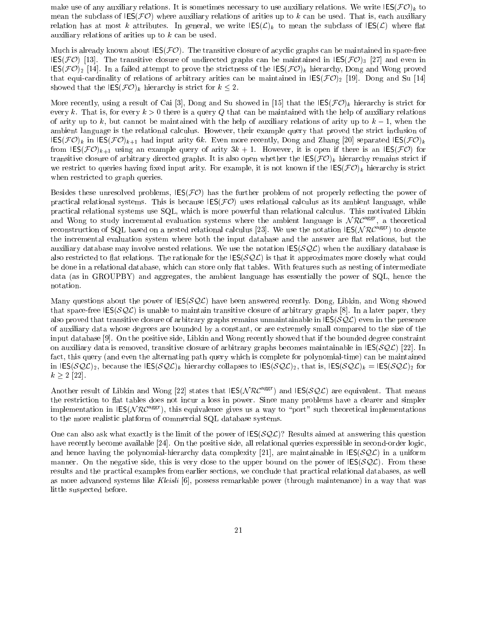make use of any auxiliary relations. It is sometimes necessary to use auxiliary relations. We write  $\text{IES}(\mathcal{FO})_k$  to mean the subclass of  $\text{IES}(\mathcal{FO})$  where auxiliary relations of arities up to k can be used. That is, each auxiliary relation has at most k attributes. In general, we write  $\text{IES}(\mathcal{L})_k$  to mean the subclass of  $\text{IES}(\mathcal{L})$  where flat auxiliary relations of arities up to k can be used.

Much is already known about  $\text{IES}(\mathcal{FO})$ . The transitive closure of acyclic graphs can be maintained in space-free IES(FO) [13]. The transitive closure of undirected graphs can be maintained in IES(FO)3 [27] and even in IES IES(FO)2 In a failure the strictness of the IESC prove the IESC prove the IESC prove the IESC prove the IESC prove the IESC prove the IESC prove the IESC prove the IESC prove the IESC proved by Dong proved by Dong proved that equi-cardinality of relations of arbitrary arities can be maintained in IES(FO)2 [19]. Dong and Su [14] showed that the  $\text{IES}(\mathcal{FO})_k$  hierarchy is strict for  $k \leq 2$ .

More recently, using a result of Cai [3], Dong and Su showed in [15] that the  $\text{IES}(\mathcal{FO})_k$  hierarchy is strict for every k. That is, for every  $k > 0$  there is a query Q that can be maintained with the help of auxiliary relations of arity up to k, but cannot be maintained with the help of auxiliary relations of arity up to  $k-1$ , when the ambient language is the relational calculus. However, their example query that proved the strict inclusion of  $\text{IES}(\mathcal{FO})_k$  in  $\text{IES}(\mathcal{FO})_{k+1}$  had input arity 6k. Even more recently, Dong and Zhang [20] separated  $\text{IES}(\mathcal{FO})_k$ from  $\text{IES}(\mathcal{FO})_{k+1}$  using an example query of arity  $3k+1$ . However, it is open if there is an  $\text{IES}(\mathcal{FO})$  for transitive closure of arbitrary directed graphs. It is also open whether the  $\text{IES}(\mathcal{FO})_k$  hierarchy remains strict if we restrict to queries having fixed input arity. For example, it is not known if the  $\text{IES}(\mathcal{FO})_k$  hierarchy is strict when restricted to graph queries.

Besides these unresolved problems,  $\text{IES}(\text{FO})$  has the further problem of not properly reflecting the power of practical relational systems. This is because  $\text{IES}(\mathcal{FO})$  uses relational calculus as its ambient language, while practical relational systems use SQL, which is more powerful than relational calculus. This motivated Libkin and Wong to study incremental evaluation systems where the ambient language is N RC<sup>aggr</sup>, a theoretical reconstruction of SQL based on a nested relational calculus [23]. We use the notation  $\text{IES}(\mathcal{NRC}^{\text{aggr}})$  to denote the incremental evaluation system where both the input database and the answer are flat relations, but the auxiliary database may involve nested relations. We use the notation  $\text{IES}(\mathcal{SQL})$  when the auxiliary database is also restricted to flat relations. The rationale for the  $\text{IES}(\mathcal{SQL})$  is that it approximates more closely what could be done in a relational database, which can store only flat tables. With features such as nesting of intermediate data (as in GROUPBY) and aggregates, the ambient language has essentially the power of SQL, hence the notation.

Many questions about the power of  $\text{IES}(\mathcal{SQL})$  have been answered recently. Dong, Libkin, and Wong showed that space-free  $\text{IES}(\mathcal{SOL})$  is unable to maintain transitive closure of arbitrary graphs [8]. In a later paper, they also proved that transitive closure of arbitrary graphs remains unmaintainable in  $\text{IES}(SQ\mathcal{L})$  even in the presence of auxiliary data whose degrees are bounded by a constant, or are extremely small compared to the size of the input database [9]. On the positive side, Libkin and Wong recently showed that if the bounded degree constraint on auxiliary data is removed, transitive closure of arbitrary graphs becomes maintainable in  $\text{IES}(\mathcal{SQL})$  [22]. In fact, this query (and even the alternating path query which is complete for polynomial-time) can be maintained in  $\text{IES}(\mathcal{SQL})_2$ , because the  $\text{IES}(\mathcal{SQL})_k$  hierarchy collapses to  $\text{IES}(\mathcal{SQL})_2$ , that is,  $\text{IES}(\mathcal{SQL})_k = \text{IES}(\mathcal{SQL})_2$  for k 2 [22].

Another result of Libkin and Wong [22] states that  $\text{IES}(\mathcal{NRC}^{\text{aggr}})$  and  $\text{IES}(\mathcal{SQL})$  are equivalent. That means the restriction to flat tables does not incur a loss in power. Since many problems have a clearer and simpler implementation in IES( $NRC<sup>agg</sup>$ ), this equivalence gives us a way to "port" such theoretical implementations to the more realistic platform of commercial SQL database systems.

One can also ask what exactly is the limit of the power of  $\text{IES}(\mathcal{SQL})$ ? Results aimed at answering this question have recently become available [24]. On the positive side, all relational queries expressible in second-order logic, and hence having the polynomial-hierarchy data complexity [21], are maintainable in  $\text{IES}(\mathcal{SQL})$  in a uniform manner. On the negative side, this is very close to the upper bound on the power of  $\text{IES}(\mathcal{SQL})$ . From these results and the practical examples from earlier sections, we conclude that practical relational databases, as well as more advanced systems like Kleisli [6], possess remarkable power (through maintenance) in a way that was little suspected before.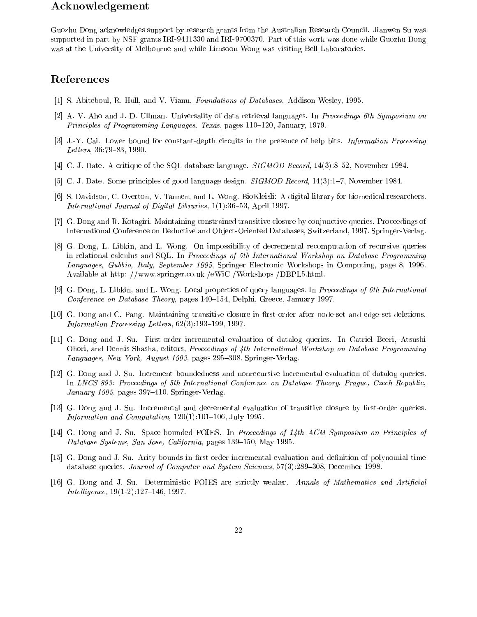# Acknowledgement

Guozhu Dong acknowledges support by research grants from the Australian Research Council. Jianwen Su was supported in part by NSF grants IRI-9411330 and IRI-9700370. Part of this work was done while Guozhu Dong was at the University of Melbourne and while Limsoon Wong was visiting Bell Laboratories.

# References

- [1] S. Abiteboul, R. Hull, and V. Vianu. Foundations of Databases. Addison-Wesley, 1995.
- [2] A. V. Aho and J. D. Ullman. Universality of data retrieval languages. In Proceedings 6th Symposium on Principles of Programming Languages, Texas, pages  $110{-}120$ , January, 1979.
- [3] J.-Y. Cai. Lower bound for constant-depth circuits in the presence of help bits. Information Processing Letters,  $36:79-83$ , 1990.
- [4] C. J. Date. A critique of the SQL database language.  $SIGMOD$  Record, 14(3):8-52, November 1984.
- [5] C. J. Date. Some principles of good language design. *SIGMOD Record*, 14(3):1-7, November 1984.
- [6] S. Davidson, C. Overton, V. Tannen, and L. Wong. BioKleisli: A digital library for biomedical researchers. International Journal of Digital Libraries,  $1(1):36-53$ , April 1997.
- [7] G. Dong and R. Kotagiri. Maintaining constrained transitive closure by conjunctive queries. Proceedings of International Conference on Deductive and Ob ject-Oriented Databases, Switzerland, 1997. Springer-Verlag.
- [8] G. Dong, L. Libkin, and L. Wong. On impossibility of decremental recomputation of recursive queries in relational calculus and SQL. In Proceedings of 5th International Workshop on Database Programming Languages, Gubbio, Italy, September 1995, Springer Electronic Workshops in Computing, page 8, 1996. Available at http: //www.springer.co.uk /eWiC /Workshops /DBPL5.html.
- [9] G. Dong, L. Libkin, and L. Wong. Local properties of query languages. In Proceedings of 6th International Conference on Database Theory, pages 140-154, Delphi, Greece, January 1997.
- [10] G. Dong and C. Pang. Maintaining transitive closure in rst-order after node-set and edge-set deletions. Information Processing Letters,  $62(3):193-199$ , 1997.
- [11] G. Dong and J. Su. First-order incremental evaluation of datalog queries. In Catriel Beeri, Atsushi Ohori, and Dennis Shasha, editors, Proceedings of 4th International Workshop on Database Programming Languages, New York, August 1993, pages 295–308. Springer-Verlag.
- [12] G. Dong and J. Su. Increment boundedness and nonrecursive incremental evaluation of datalog queries. In LNCS 893: Proceedings of 5th International Conference on Database Theory, Prague, Czech Republic, January 1995, pages  $397-410$ . Springer-Verlag.
- [13] G. Dong and J. Su. Incremental and decremental evaluation of transitive closure by first-order queries. Information and Computation,  $120(1):101{-}106$ , July 1995.
- [14] G. Dong and J. Su. Space-bounded FOIES. In Proceedings of 14th ACM Symposium on Principles of Database Systems, San Jose, California, pages 139–150, May 1995.
- [15] G. Dong and J. Su. Arity bounds in first-order incremental evaluation and definition of polynomial time database queries. Journal of Computer and System Sciences, 57(3):289-308, December 1998.
- [16] G. Dong and J. Su. Deterministic FOIES are strictly weaker. Annals of Mathematics and Artificial  $Intelligence, 19(1-2):127–146, 1997.$